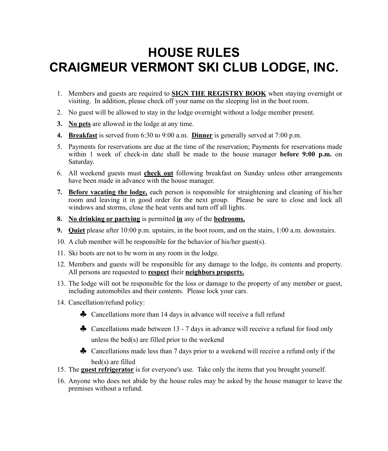## **HOUSE RULES CRAIGMEUR VERMONT SKI CLUB LODGE, INC.**

- 1. Members and guests are required to **SIGN THE REGISTRY BOOK** when staying overnight or visiting. In addition, please check off your name on the sleeping list in the boot room.
- 2. No guest will be allowed to stay in the lodge overnight without a lodge member present.
- **3. No pets** are allowed in the lodge at any time.
- **4. Breakfast** is served from 6:30 to 9:00 a.m. **Dinner** is generally served at 7:00 p.m.
- 5. Payments for reservations are due at the time of the reservation; Payments for reservations made within 1 week of check-in date shall be made to the house manager **before 9:00 p.m.** on Saturday.
- 6. All weekend guests must **check out** following breakfast on Sunday unless other arrangements have been made in advance with the house manager.
- **7. Before vacating the lodge,** each person is responsible for straightening and cleaning of his/her room and leaving it in good order for the next group. Please be sure to close and lock all windows and storms, close the heat vents and turn off all lights.
- **8. No drinking or partying** is permitted **in** any of the **bedrooms.**
- **9. Quiet** please after 10:00 p.m. upstairs, in the boot room, and on the stairs, 1:00 a.m. downstairs.
- 10. A club member will be responsible for the behavior of his/her guest(s).
- 11. Ski boots are not to be worn in any room in the lodge.
- 12. Members and guests will be responsible for any damage to the lodge, its contents and property. All persons are requested to **respect** their **neighbors property.**
- 13. The lodge will not be responsible for the loss or damage to the property of any member or guest, including automobiles and their contents. Please lock your cars.
- 14. Cancellation/refund policy:
	- ♣ Cancellations more than 14 days in advance will receive a full refund
	- ♣ Cancellations made between 13 7 days in advance will receive a refund for food only unless the bed(s) are filled prior to the weekend
	- ♣ Cancellations made less than 7 days prior to a weekend will receive a refund only if the bed(s) are filled
- 15. The **guest refrigerator** is for everyone's use. Take only the items that you brought yourself.
- 16. Anyone who does not abide by the house rules may be asked by the house manager to leave the premises without a refund.